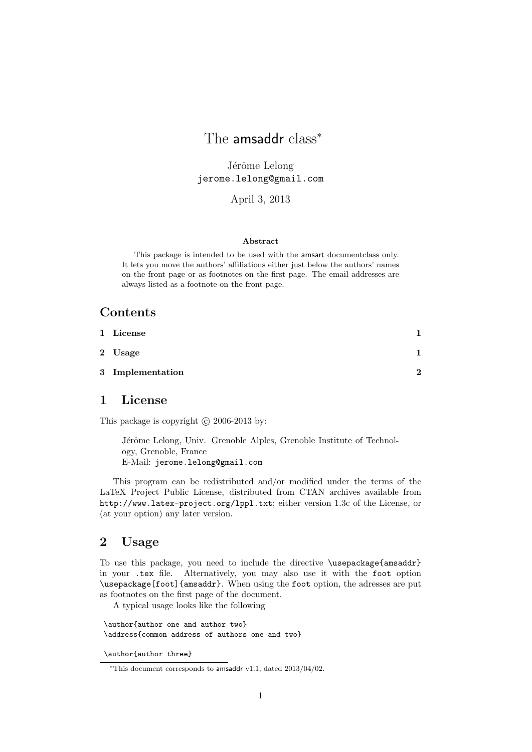# The amsaddr class<sup>\*</sup>

Jérôme Lelong jerome.lelong@gmail.com

April 3, 2013

#### Abstract

This package is intended to be used with the amsart documentclass only. It lets you move the authors' affiliations either just below the authors' names on the front page or as footnotes on the first page. The email addresses are always listed as a footnote on the front page.

## **Contents**

| 1 License        |   |
|------------------|---|
| 2 Usage          |   |
| 3 Implementation | 2 |

#### 1 License

This package is copyright  $\odot$  2006-2013 by:

Jérôme Lelong, Univ. Grenoble Alples, Grenoble Institute of Technology, Grenoble, France E-Mail: jerome.lelong@gmail.com

This program can be redistributed and/or modified under the terms of the LaTeX Project Public License, distributed from CTAN archives available from http://www.latex-project.org/lppl.txt; either version 1.3c of the License, or (at your option) any later version.

#### 2 Usage

To use this package, you need to include the directive \usepackage{amsaddr} in your .tex file. Alternatively, you may also use it with the foot option \usepackage[foot]{amsaddr}. When using the foot option, the adresses are put as footnotes on the first page of the document.

A typical usage looks like the following

\author{author one and author two} \address{common address of authors one and two}

\author{author three}

<sup>∗</sup>This document corresponds to amsaddr v1.1, dated 2013/04/02.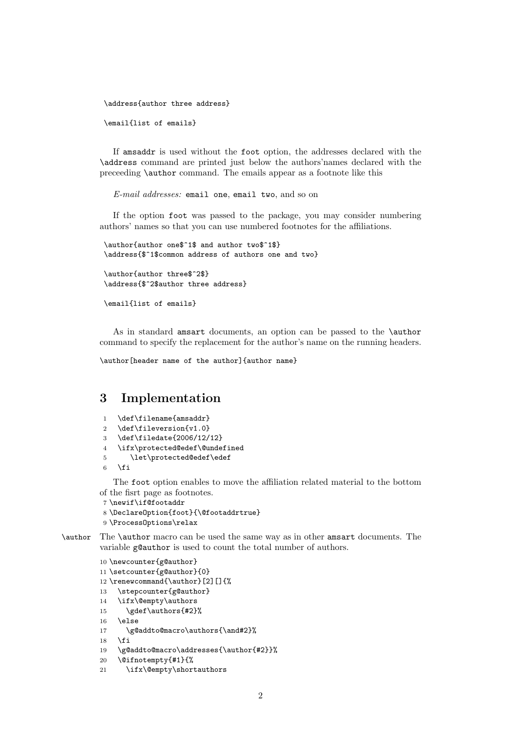\address{author three address}

\email{list of emails}

If amsaddr is used without the foot option, the addresses declared with the \address command are printed just below the authors'names declared with the preceeding \author command. The emails appear as a footnote like this

E-mail addresses: email one, email two, and so on

If the option foot was passed to the package, you may consider numbering authors' names so that you can use numbered footnotes for the affiliations.

\author{author one\$^1\$ and author two\$^1\$} \address{\$^1\$common address of authors one and two}

\author{author three\$^2\$} \address{\$^2\$author three address}

\email{list of emails}

As in standard amsart documents, an option can be passed to the \author command to specify the replacement for the author's name on the running headers.

\author[header name of the author]{author name}

### 3 Implementation

```
1 \def\filename{amsaddr}
```
- 2 \def\fileversion{v1.0}
- 3 \def\filedate{2006/12/12}
- 4 \ifx\protected@edef\@undefined
- 5 \let\protected@edef\edef

```
6 \fi
```
The foot option enables to move the affiliation related material to the bottom of the fisrt page as footnotes.

```
7 \newif\if@footaddr
8 \DeclareOption{foot}{\@footaddrtrue}
9 \ProcessOptions\relax
```
\author The \author macro can be used the same way as in other amsart documents. The variable g@author is used to count the total number of authors.

```
10 \newcounter{g@author}
11 \setcounter{g@author}{0}
12 \renewcommand{\author}[2][]{%
13 \stepcounter{g@author}
14 \ifx\@empty\authors
15 \gdef\authors{#2}%
16 \else
17 \g@addto@macro\authors{\and#2}%
18 \fi
19 \g@addto@macro\addresses{\author{#2}}%
```

```
20 \@ifnotempty{#1}{%
```

```
21 \ifx\@empty\shortauthors
```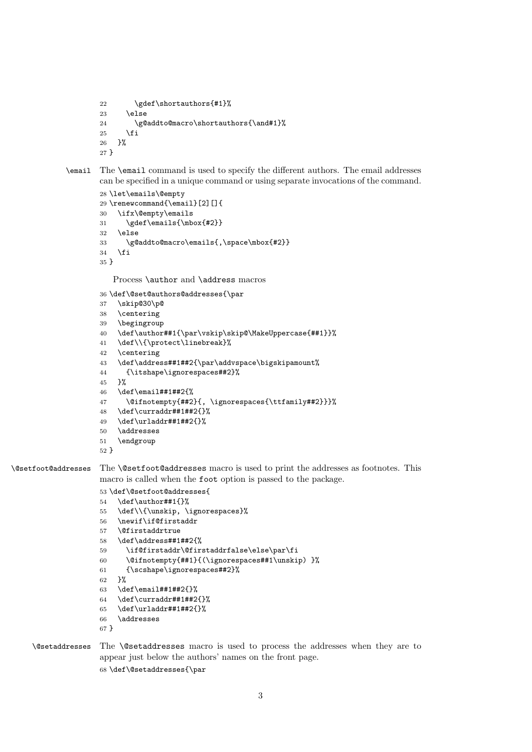```
22 \gdef\shortauthors{#1}%
23 \else
24 \g@addto@macro\shortauthors{\and#1}%
25 \setminusfi
26 }%
27 }
```

```
\email The \email command is used to specify the different authors. The email addresses
        can be specified in a unique command or using separate invocations of the command.
```

```
28 \let\emails\@empty
29 \renewcommand{\email}[2][]{
30 \ifx\@empty\emails
31 \gdef\emails{\mbox{#2}}
32 \else
33 \g@addto@macro\emails{,\space\mbox{#2}}
34 \foralli
35 }
```
Process **\author** and **\address** macros

\def\@set@authors@addresses{\par

```
37 \skip@30\p@
38 \centering
39 \begingroup
40 \def\author##1{\par\vskip\skip@\MakeUppercase{##1}}%
41 \def\\{\protect\linebreak}%
42 \centering
43 \def\address##1##2{\par\addvspace\bigskipamount%
44 {\itshape\ignorespaces##2}%
45 }%
46 \def\email##1##2{%
47 \@ifnotempty{##2}{, \ignorespaces{\ttfamily##2}}}%
48 \def\curraddr##1##2{}%
49 \def\urladdr##1##2{}%
50 \addresses
51 \endgroup
52 }
```
\@setfoot@addresses The \@setfoot@addresses macro is used to print the addresses as footnotes. This macro is called when the foot option is passed to the package.

```
53 \def\@setfoot@addresses{
54 \def\author##1{}%
55 \def\\{\unskip, \ignorespaces}%
56 \newif\if@firstaddr
57 \@firstaddrtrue
58 \def\address##1##2{%
59 \if@firstaddr\@firstaddrfalse\else\par\fi
60 \@ifnotempty{##1}{(\ignorespaces##1\unskip) }%
61 {\scshape\ignorespaces##2}%
62 }%
63 \def\email##1##2{}%
64 \ \text{current}4#1##2{}65 \def\urladdr##1##2{}%
66 \addresses
```
}

\@setaddresses The \@setaddresses macro is used to process the addresses when they are to appear just below the authors' names on the front page. \def\@setaddresses{\par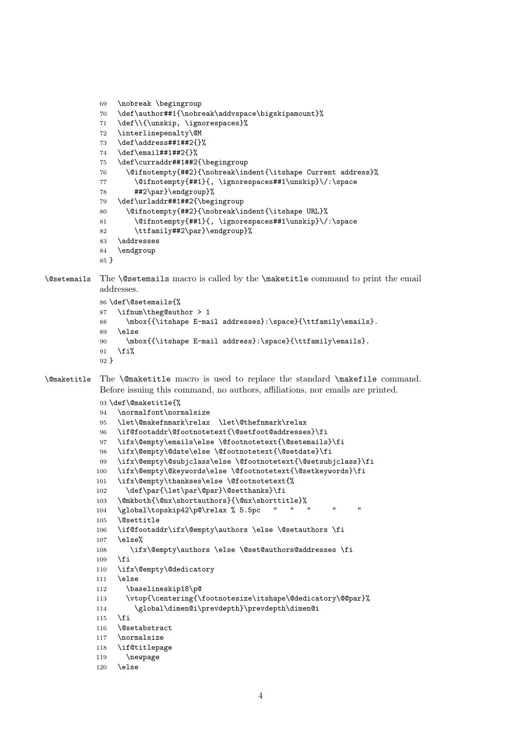```
69 \nobreak \begingroup
            70 \def\author##1{\nobreak\addvspace\bigskipamount}%
            71 \def\\{\unskip, \ignorespaces}%
            72 \interlinepenalty\@M
            73 \def\address##1##2{}%
            74 \def\email##1##2{}%
            75 \def\curraddr##1##2{\begingroup
            76 \@ifnotempty{##2}{\nobreak\indent{\itshape Current address}%
            77 \@ifnotempty{##1}{, \ignorespaces##1\unskip}\/:\space
            78 ##2\par}\endgroup}%
            79 \def\urladdr##1##2{\begingroup
            80 \@ifnotempty{##2}{\nobreak\indent{\itshape URL}%
            81 \@ifnotempty{##1}{, \ignorespaces##1\unskip}\/:\space
            82 \ttfamily##2\par}\endgroup}%
            83 \addresses
            84 \endgroup
            85 }
\@setemails The \@setemails macro is called by the \maketitle command to print the email
            addresses.
            86 \def\@setemails{%
            87 \ifnum\theg@author > 1
            88 \mbox{{\itshape E-mail addresses}:\space}{\ttfamily\emails}.
            89 \else
            90 \mbox{{\itshape E-mail address}:\space}{\ttfamily\emails}.
            91 \fi%
            92 }
\@maketitle The \@maketitle macro is used to replace the standard \makefile command.
            Before issuing this command, no authors, affiliations, nor emails are printed.
            93 \def\@maketitle{%
            94 \normalfont\normalsize
            95 \let\@makefnmark\relax \let\@thefnmark\relax
            96 \if@footaddr\@footnotetext{\@setfoot@addresses}\fi
            97 \ifx\@empty\emails\else \@footnotetext{\@setemails}\fi
            98 \ifx\@empty\@date\else \@footnotetext{\@setdate}\fi
            99 \ifx\@empty\@subjclass\else \@footnotetext{\@setsubjclass}\fi
           100 \ifx\@empty\@keywords\else \@footnotetext{\@setkeywords}\fi
           101 \ifx\@empty\thankses\else \@footnotetext{%
           102 \def\par{\let\par\@par}\@setthanks}\fi
           103 \@mkboth{\@nx\shortauthors}{\@nx\shorttitle}%
           104 \global\topskip42\p@\relax % 5.5pc " "
           105 \@settitle
           106 \if@footaddr\ifx\@empty\authors \else \@setauthors \fi
           107 \else%
           108 \ifx\@empty\authors \else \@set@authors@addresses \fi
           109 \fi
           110 \ifx\@empty\@dedicatory
           111 \else
           112 \baselineskip18\p@
           113 \vtop{\centering{\footnotesize\itshape\@dedicatory\@@par}%
           114 \global\dimen@i\prevdepth}\prevdepth\dimen@i
           115 \fi
           116 \@setabstract
           117 \normalsize
           118 \if@titlepage
           119 \newpage
           120 \else
```